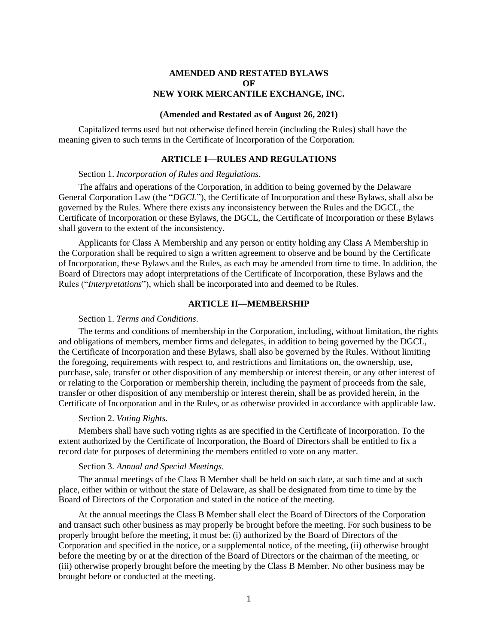# **AMENDED AND RESTATED BYLAWS OF NEW YORK MERCANTILE EXCHANGE, INC.**

## **(Amended and Restated as of August 26, 2021)**

Capitalized terms used but not otherwise defined herein (including the Rules) shall have the meaning given to such terms in the Certificate of Incorporation of the Corporation.

### **ARTICLE I—RULES AND REGULATIONS**

# Section 1. *Incorporation of Rules and Regulations*.

The affairs and operations of the Corporation, in addition to being governed by the Delaware General Corporation Law (the "*DGCL*"), the Certificate of Incorporation and these Bylaws, shall also be governed by the Rules. Where there exists any inconsistency between the Rules and the DGCL, the Certificate of Incorporation or these Bylaws, the DGCL, the Certificate of Incorporation or these Bylaws shall govern to the extent of the inconsistency.

Applicants for Class A Membership and any person or entity holding any Class A Membership in the Corporation shall be required to sign a written agreement to observe and be bound by the Certificate of Incorporation, these Bylaws and the Rules, as each may be amended from time to time. In addition, the Board of Directors may adopt interpretations of the Certificate of Incorporation, these Bylaws and the Rules ("*Interpretations*"), which shall be incorporated into and deemed to be Rules.

# **ARTICLE II—MEMBERSHIP**

## Section 1. *Terms and Conditions*.

The terms and conditions of membership in the Corporation, including, without limitation, the rights and obligations of members, member firms and delegates, in addition to being governed by the DGCL, the Certificate of Incorporation and these Bylaws, shall also be governed by the Rules. Without limiting the foregoing, requirements with respect to, and restrictions and limitations on, the ownership, use, purchase, sale, transfer or other disposition of any membership or interest therein, or any other interest of or relating to the Corporation or membership therein, including the payment of proceeds from the sale, transfer or other disposition of any membership or interest therein, shall be as provided herein, in the Certificate of Incorporation and in the Rules, or as otherwise provided in accordance with applicable law.

#### Section 2. *Voting Rights*.

Members shall have such voting rights as are specified in the Certificate of Incorporation. To the extent authorized by the Certificate of Incorporation, the Board of Directors shall be entitled to fix a record date for purposes of determining the members entitled to vote on any matter.

### Section 3. *Annual and Special Meetings*.

The annual meetings of the Class B Member shall be held on such date, at such time and at such place, either within or without the state of Delaware, as shall be designated from time to time by the Board of Directors of the Corporation and stated in the notice of the meeting.

At the annual meetings the Class B Member shall elect the Board of Directors of the Corporation and transact such other business as may properly be brought before the meeting. For such business to be properly brought before the meeting, it must be: (i) authorized by the Board of Directors of the Corporation and specified in the notice, or a supplemental notice, of the meeting, (ii) otherwise brought before the meeting by or at the direction of the Board of Directors or the chairman of the meeting, or (iii) otherwise properly brought before the meeting by the Class B Member. No other business may be brought before or conducted at the meeting.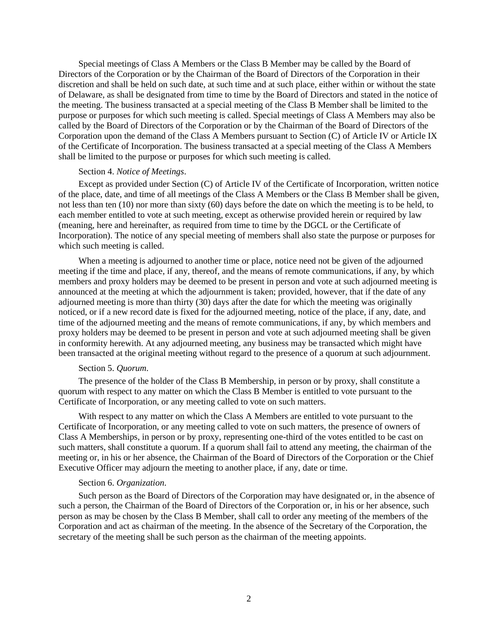Special meetings of Class A Members or the Class B Member may be called by the Board of Directors of the Corporation or by the Chairman of the Board of Directors of the Corporation in their discretion and shall be held on such date, at such time and at such place, either within or without the state of Delaware, as shall be designated from time to time by the Board of Directors and stated in the notice of the meeting. The business transacted at a special meeting of the Class B Member shall be limited to the purpose or purposes for which such meeting is called. Special meetings of Class A Members may also be called by the Board of Directors of the Corporation or by the Chairman of the Board of Directors of the Corporation upon the demand of the Class A Members pursuant to Section (C) of Article IV or Article IX of the Certificate of Incorporation. The business transacted at a special meeting of the Class A Members shall be limited to the purpose or purposes for which such meeting is called.

#### Section 4. *Notice of Meetings*.

Except as provided under Section (C) of Article IV of the Certificate of Incorporation, written notice of the place, date, and time of all meetings of the Class A Members or the Class B Member shall be given, not less than ten (10) nor more than sixty (60) days before the date on which the meeting is to be held, to each member entitled to vote at such meeting, except as otherwise provided herein or required by law (meaning, here and hereinafter, as required from time to time by the DGCL or the Certificate of Incorporation). The notice of any special meeting of members shall also state the purpose or purposes for which such meeting is called.

When a meeting is adjourned to another time or place, notice need not be given of the adjourned meeting if the time and place, if any, thereof, and the means of remote communications, if any, by which members and proxy holders may be deemed to be present in person and vote at such adjourned meeting is announced at the meeting at which the adjournment is taken; provided, however, that if the date of any adjourned meeting is more than thirty (30) days after the date for which the meeting was originally noticed, or if a new record date is fixed for the adjourned meeting, notice of the place, if any, date, and time of the adjourned meeting and the means of remote communications, if any, by which members and proxy holders may be deemed to be present in person and vote at such adjourned meeting shall be given in conformity herewith. At any adjourned meeting, any business may be transacted which might have been transacted at the original meeting without regard to the presence of a quorum at such adjournment.

#### Section 5. *Quorum*.

The presence of the holder of the Class B Membership, in person or by proxy, shall constitute a quorum with respect to any matter on which the Class B Member is entitled to vote pursuant to the Certificate of Incorporation, or any meeting called to vote on such matters.

With respect to any matter on which the Class A Members are entitled to vote pursuant to the Certificate of Incorporation, or any meeting called to vote on such matters, the presence of owners of Class A Memberships, in person or by proxy, representing one-third of the votes entitled to be cast on such matters, shall constitute a quorum. If a quorum shall fail to attend any meeting, the chairman of the meeting or, in his or her absence, the Chairman of the Board of Directors of the Corporation or the Chief Executive Officer may adjourn the meeting to another place, if any, date or time.

### Section 6. *Organization*.

Such person as the Board of Directors of the Corporation may have designated or, in the absence of such a person, the Chairman of the Board of Directors of the Corporation or, in his or her absence, such person as may be chosen by the Class B Member, shall call to order any meeting of the members of the Corporation and act as chairman of the meeting. In the absence of the Secretary of the Corporation, the secretary of the meeting shall be such person as the chairman of the meeting appoints.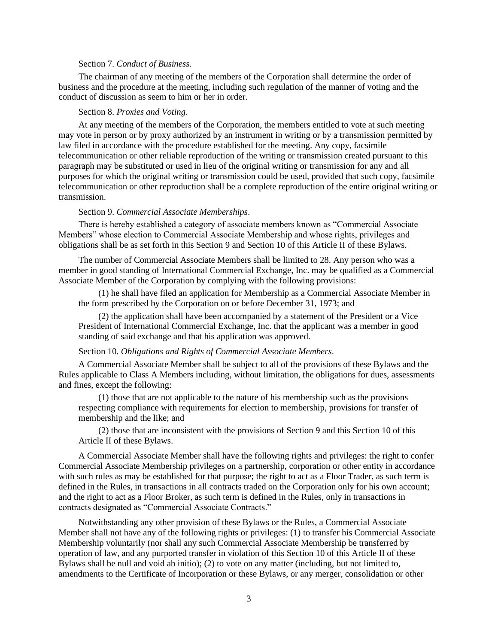#### Section 7. *Conduct of Business*.

The chairman of any meeting of the members of the Corporation shall determine the order of business and the procedure at the meeting, including such regulation of the manner of voting and the conduct of discussion as seem to him or her in order.

### Section 8. *Proxies and Voting*.

At any meeting of the members of the Corporation, the members entitled to vote at such meeting may vote in person or by proxy authorized by an instrument in writing or by a transmission permitted by law filed in accordance with the procedure established for the meeting. Any copy, facsimile telecommunication or other reliable reproduction of the writing or transmission created pursuant to this paragraph may be substituted or used in lieu of the original writing or transmission for any and all purposes for which the original writing or transmission could be used, provided that such copy, facsimile telecommunication or other reproduction shall be a complete reproduction of the entire original writing or transmission.

### Section 9. *Commercial Associate Memberships*.

There is hereby established a category of associate members known as "Commercial Associate Members" whose election to Commercial Associate Membership and whose rights, privileges and obligations shall be as set forth in this Section 9 and Section 10 of this Article II of these Bylaws.

The number of Commercial Associate Members shall be limited to 28. Any person who was a member in good standing of International Commercial Exchange, Inc. may be qualified as a Commercial Associate Member of the Corporation by complying with the following provisions:

(1) he shall have filed an application for Membership as a Commercial Associate Member in the form prescribed by the Corporation on or before December 31, 1973; and

(2) the application shall have been accompanied by a statement of the President or a Vice President of International Commercial Exchange, Inc. that the applicant was a member in good standing of said exchange and that his application was approved.

### Section 10. *Obligations and Rights of Commercial Associate Members*.

A Commercial Associate Member shall be subject to all of the provisions of these Bylaws and the Rules applicable to Class A Members including, without limitation, the obligations for dues, assessments and fines, except the following:

(1) those that are not applicable to the nature of his membership such as the provisions respecting compliance with requirements for election to membership, provisions for transfer of membership and the like; and

(2) those that are inconsistent with the provisions of Section 9 and this Section 10 of this Article II of these Bylaws.

A Commercial Associate Member shall have the following rights and privileges: the right to confer Commercial Associate Membership privileges on a partnership, corporation or other entity in accordance with such rules as may be established for that purpose; the right to act as a Floor Trader, as such term is defined in the Rules, in transactions in all contracts traded on the Corporation only for his own account; and the right to act as a Floor Broker, as such term is defined in the Rules, only in transactions in contracts designated as "Commercial Associate Contracts."

Notwithstanding any other provision of these Bylaws or the Rules, a Commercial Associate Member shall not have any of the following rights or privileges: (1) to transfer his Commercial Associate Membership voluntarily (nor shall any such Commercial Associate Membership be transferred by operation of law, and any purported transfer in violation of this Section 10 of this Article II of these Bylaws shall be null and void ab initio); (2) to vote on any matter (including, but not limited to, amendments to the Certificate of Incorporation or these Bylaws, or any merger, consolidation or other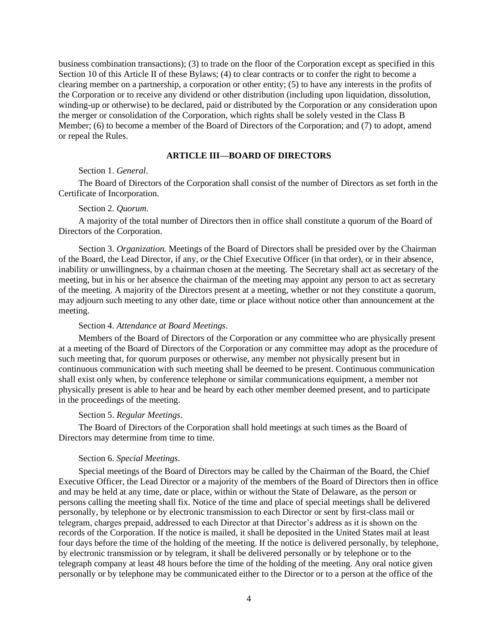business combination transactions); (3) to trade on the floor of the Corporation except as specified in this Section 10 of this Article II of these Bylaws; (4) to clear contracts or to confer the right to become a clearing member on a partnership, a corporation or other entity; (5) to have any interests in the profits of the Corporation or to receive any dividend or other distribution (including upon liquidation, dissolution, winding-up or otherwise) to be declared, paid or distributed by the Corporation or any consideration upon the merger or consolidation of the Corporation, which rights shall be solely vested in the Class B Member; (6) to become a member of the Board of Directors of the Corporation; and (7) to adopt, amend or repeal the Rules.

## **ARTICLE III—BOARD OF DIRECTORS**

## Section 1. *General*.

The Board of Directors of the Corporation shall consist of the number of Directors as set forth in the Certificate of Incorporation.

#### Section 2. *Quorum*.

A majority of the total number of Directors then in office shall constitute a quorum of the Board of Directors of the Corporation.

Section 3. *Organization.* Meetings of the Board of Directors shall be presided over by the Chairman of the Board, the Lead Director, if any, or the Chief Executive Officer (in that order), or in their absence, inability or unwillingness, by a chairman chosen at the meeting. The Secretary shall act as secretary of the meeting, but in his or her absence the chairman of the meeting may appoint any person to act as secretary of the meeting. A majority of the Directors present at a meeting, whether or not they constitute a quorum, may adjourn such meeting to any other date, time or place without notice other than announcement at the meeting.

#### Section 4. *Attendance at Board Meetings*.

Members of the Board of Directors of the Corporation or any committee who are physically present at a meeting of the Board of Directors of the Corporation or any committee may adopt as the procedure of such meeting that, for quorum purposes or otherwise, any member not physically present but in continuous communication with such meeting shall be deemed to be present. Continuous communication shall exist only when, by conference telephone or similar communications equipment, a member not physically present is able to hear and be heard by each other member deemed present, and to participate in the proceedings of the meeting.

## Section 5. *Regular Meetings*.

The Board of Directors of the Corporation shall hold meetings at such times as the Board of Directors may determine from time to time.

## Section 6. *Special Meetings*.

Special meetings of the Board of Directors may be called by the Chairman of the Board, the Chief Executive Officer, the Lead Director or a majority of the members of the Board of Directors then in office and may be held at any time, date or place, within or without the State of Delaware, as the person or persons calling the meeting shall fix. Notice of the time and place of special meetings shall be delivered personally, by telephone or by electronic transmission to each Director or sent by first-class mail or telegram, charges prepaid, addressed to each Director at that Director's address as it is shown on the records of the Corporation. If the notice is mailed, it shall be deposited in the United States mail at least four days before the time of the holding of the meeting. If the notice is delivered personally, by telephone, by electronic transmission or by telegram, it shall be delivered personally or by telephone or to the telegraph company at least 48 hours before the time of the holding of the meeting. Any oral notice given personally or by telephone may be communicated either to the Director or to a person at the office of the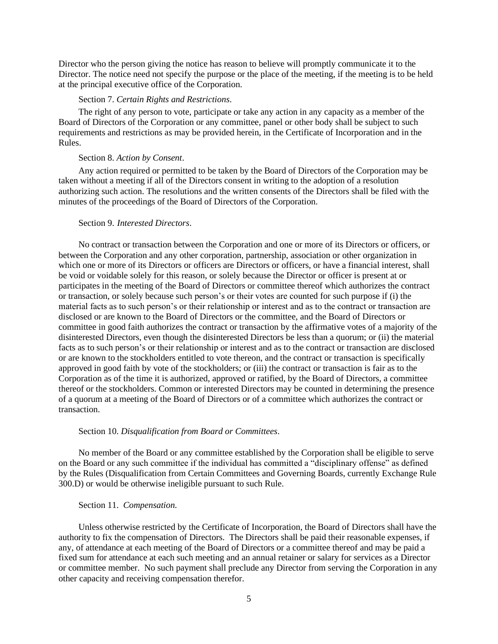Director who the person giving the notice has reason to believe will promptly communicate it to the Director. The notice need not specify the purpose or the place of the meeting, if the meeting is to be held at the principal executive office of the Corporation.

### Section 7. *Certain Rights and Restrictions*.

The right of any person to vote, participate or take any action in any capacity as a member of the Board of Directors of the Corporation or any committee, panel or other body shall be subject to such requirements and restrictions as may be provided herein, in the Certificate of Incorporation and in the Rules.

### Section 8. *Action by Consent*.

Any action required or permitted to be taken by the Board of Directors of the Corporation may be taken without a meeting if all of the Directors consent in writing to the adoption of a resolution authorizing such action. The resolutions and the written consents of the Directors shall be filed with the minutes of the proceedings of the Board of Directors of the Corporation.

# Section 9. *Interested Directors*.

No contract or transaction between the Corporation and one or more of its Directors or officers, or between the Corporation and any other corporation, partnership, association or other organization in which one or more of its Directors or officers are Directors or officers, or have a financial interest, shall be void or voidable solely for this reason, or solely because the Director or officer is present at or participates in the meeting of the Board of Directors or committee thereof which authorizes the contract or transaction, or solely because such person's or their votes are counted for such purpose if (i) the material facts as to such person's or their relationship or interest and as to the contract or transaction are disclosed or are known to the Board of Directors or the committee, and the Board of Directors or committee in good faith authorizes the contract or transaction by the affirmative votes of a majority of the disinterested Directors, even though the disinterested Directors be less than a quorum; or (ii) the material facts as to such person's or their relationship or interest and as to the contract or transaction are disclosed or are known to the stockholders entitled to vote thereon, and the contract or transaction is specifically approved in good faith by vote of the stockholders; or (iii) the contract or transaction is fair as to the Corporation as of the time it is authorized, approved or ratified, by the Board of Directors, a committee thereof or the stockholders. Common or interested Directors may be counted in determining the presence of a quorum at a meeting of the Board of Directors or of a committee which authorizes the contract or transaction.

### Section 10. *Disqualification from Board or Committees*.

No member of the Board or any committee established by the Corporation shall be eligible to serve on the Board or any such committee if the individual has committed a "disciplinary offense" as defined by the Rules (Disqualification from Certain Committees and Governing Boards, currently Exchange Rule 300.D) or would be otherwise ineligible pursuant to such Rule.

### Section 11. *Compensation.*

Unless otherwise restricted by the Certificate of Incorporation, the Board of Directors shall have the authority to fix the compensation of Directors. The Directors shall be paid their reasonable expenses, if any, of attendance at each meeting of the Board of Directors or a committee thereof and may be paid a fixed sum for attendance at each such meeting and an annual retainer or salary for services as a Director or committee member. No such payment shall preclude any Director from serving the Corporation in any other capacity and receiving compensation therefor.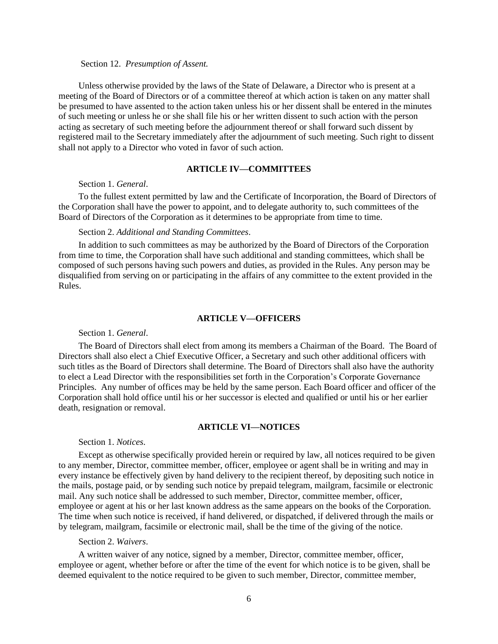### Section 12. *Presumption of Assent.*

Unless otherwise provided by the laws of the State of Delaware, a Director who is present at a meeting of the Board of Directors or of a committee thereof at which action is taken on any matter shall be presumed to have assented to the action taken unless his or her dissent shall be entered in the minutes of such meeting or unless he or she shall file his or her written dissent to such action with the person acting as secretary of such meeting before the adjournment thereof or shall forward such dissent by registered mail to the Secretary immediately after the adjournment of such meeting. Such right to dissent shall not apply to a Director who voted in favor of such action.

### **ARTICLE IV—COMMITTEES**

## Section 1. *General*.

To the fullest extent permitted by law and the Certificate of Incorporation, the Board of Directors of the Corporation shall have the power to appoint, and to delegate authority to, such committees of the Board of Directors of the Corporation as it determines to be appropriate from time to time.

# Section 2. *Additional and Standing Committees*.

In addition to such committees as may be authorized by the Board of Directors of the Corporation from time to time, the Corporation shall have such additional and standing committees, which shall be composed of such persons having such powers and duties, as provided in the Rules. Any person may be disqualified from serving on or participating in the affairs of any committee to the extent provided in the Rules.

## **ARTICLE V—OFFICERS**

#### Section 1. *General*.

The Board of Directors shall elect from among its members a Chairman of the Board. The Board of Directors shall also elect a Chief Executive Officer, a Secretary and such other additional officers with such titles as the Board of Directors shall determine. The Board of Directors shall also have the authority to elect a Lead Director with the responsibilities set forth in the Corporation's Corporate Governance Principles. Any number of offices may be held by the same person. Each Board officer and officer of the Corporation shall hold office until his or her successor is elected and qualified or until his or her earlier death, resignation or removal.

## **ARTICLE VI—NOTICES**

## Section 1. *Notices*.

Except as otherwise specifically provided herein or required by law, all notices required to be given to any member, Director, committee member, officer, employee or agent shall be in writing and may in every instance be effectively given by hand delivery to the recipient thereof, by depositing such notice in the mails, postage paid, or by sending such notice by prepaid telegram, mailgram, facsimile or electronic mail. Any such notice shall be addressed to such member, Director, committee member, officer, employee or agent at his or her last known address as the same appears on the books of the Corporation. The time when such notice is received, if hand delivered, or dispatched, if delivered through the mails or by telegram, mailgram, facsimile or electronic mail, shall be the time of the giving of the notice.

## Section 2. *Waivers*.

A written waiver of any notice, signed by a member, Director, committee member, officer, employee or agent, whether before or after the time of the event for which notice is to be given, shall be deemed equivalent to the notice required to be given to such member, Director, committee member,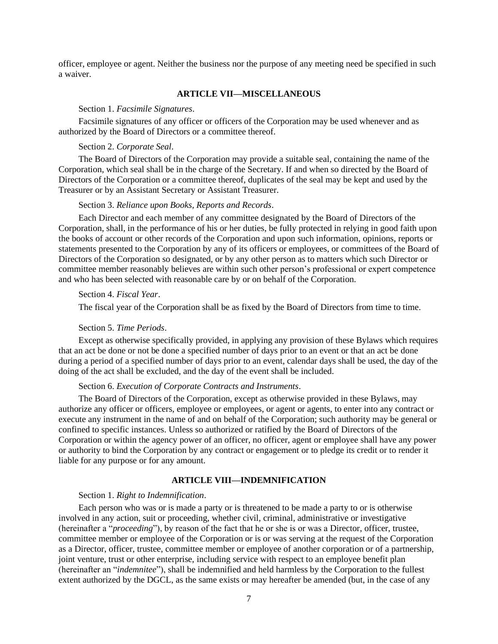officer, employee or agent. Neither the business nor the purpose of any meeting need be specified in such a waiver.

# **ARTICLE VII—MISCELLANEOUS**

## Section 1. *Facsimile Signatures*.

Facsimile signatures of any officer or officers of the Corporation may be used whenever and as authorized by the Board of Directors or a committee thereof.

## Section 2. *Corporate Seal*.

The Board of Directors of the Corporation may provide a suitable seal, containing the name of the Corporation, which seal shall be in the charge of the Secretary. If and when so directed by the Board of Directors of the Corporation or a committee thereof, duplicates of the seal may be kept and used by the Treasurer or by an Assistant Secretary or Assistant Treasurer.

#### Section 3. *Reliance upon Books, Reports and Records*.

Each Director and each member of any committee designated by the Board of Directors of the Corporation, shall, in the performance of his or her duties, be fully protected in relying in good faith upon the books of account or other records of the Corporation and upon such information, opinions, reports or statements presented to the Corporation by any of its officers or employees, or committees of the Board of Directors of the Corporation so designated, or by any other person as to matters which such Director or committee member reasonably believes are within such other person's professional or expert competence and who has been selected with reasonable care by or on behalf of the Corporation.

# Section 4. *Fiscal Year*.

The fiscal year of the Corporation shall be as fixed by the Board of Directors from time to time.

#### Section 5. *Time Periods*.

Except as otherwise specifically provided, in applying any provision of these Bylaws which requires that an act be done or not be done a specified number of days prior to an event or that an act be done during a period of a specified number of days prior to an event, calendar days shall be used, the day of the doing of the act shall be excluded, and the day of the event shall be included.

#### Section 6. *Execution of Corporate Contracts and Instruments*.

The Board of Directors of the Corporation, except as otherwise provided in these Bylaws, may authorize any officer or officers, employee or employees, or agent or agents, to enter into any contract or execute any instrument in the name of and on behalf of the Corporation; such authority may be general or confined to specific instances. Unless so authorized or ratified by the Board of Directors of the Corporation or within the agency power of an officer, no officer, agent or employee shall have any power or authority to bind the Corporation by any contract or engagement or to pledge its credit or to render it liable for any purpose or for any amount.

## **ARTICLE VIII—INDEMNIFICATION**

## Section 1. *Right to Indemnification*.

Each person who was or is made a party or is threatened to be made a party to or is otherwise involved in any action, suit or proceeding, whether civil, criminal, administrative or investigative (hereinafter a "*proceeding*"), by reason of the fact that he or she is or was a Director, officer, trustee, committee member or employee of the Corporation or is or was serving at the request of the Corporation as a Director, officer, trustee, committee member or employee of another corporation or of a partnership, joint venture, trust or other enterprise, including service with respect to an employee benefit plan (hereinafter an "*indemnitee*"), shall be indemnified and held harmless by the Corporation to the fullest extent authorized by the DGCL, as the same exists or may hereafter be amended (but, in the case of any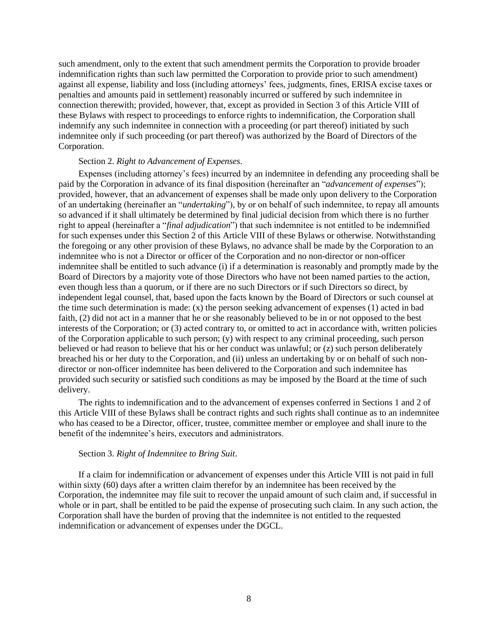such amendment, only to the extent that such amendment permits the Corporation to provide broader indemnification rights than such law permitted the Corporation to provide prior to such amendment) against all expense, liability and loss (including attorneys' fees, judgments, fines, ERISA excise taxes or penalties and amounts paid in settlement) reasonably incurred or suffered by such indemnitee in connection therewith; provided, however, that, except as provided in Section 3 of this Article VIII of these Bylaws with respect to proceedings to enforce rights to indemnification, the Corporation shall indemnify any such indemnitee in connection with a proceeding (or part thereof) initiated by such indemnitee only if such proceeding (or part thereof) was authorized by the Board of Directors of the Corporation.

## Section 2. *Right to Advancement of Expenses*.

Expenses (including attorney's fees) incurred by an indemnitee in defending any proceeding shall be paid by the Corporation in advance of its final disposition (hereinafter an "*advancement of expenses*"); provided, however, that an advancement of expenses shall be made only upon delivery to the Corporation of an undertaking (hereinafter an "*undertaking*"), by or on behalf of such indemnitee, to repay all amounts so advanced if it shall ultimately be determined by final judicial decision from which there is no further right to appeal (hereinafter a "*final adjudication*") that such indemnitee is not entitled to be indemnified for such expenses under this Section 2 of this Article VIII of these Bylaws or otherwise. Notwithstanding the foregoing or any other provision of these Bylaws, no advance shall be made by the Corporation to an indemnitee who is not a Director or officer of the Corporation and no non-director or non-officer indemnitee shall be entitled to such advance (i) if a determination is reasonably and promptly made by the Board of Directors by a majority vote of those Directors who have not been named parties to the action, even though less than a quorum, or if there are no such Directors or if such Directors so direct, by independent legal counsel, that, based upon the facts known by the Board of Directors or such counsel at the time such determination is made: (x) the person seeking advancement of expenses (1) acted in bad faith, (2) did not act in a manner that he or she reasonably believed to be in or not opposed to the best interests of the Corporation; or (3) acted contrary to, or omitted to act in accordance with, written policies of the Corporation applicable to such person; (y) with respect to any criminal proceeding, such person believed or had reason to believe that his or her conduct was unlawful; or (z) such person deliberately breached his or her duty to the Corporation, and (ii) unless an undertaking by or on behalf of such nondirector or non-officer indemnitee has been delivered to the Corporation and such indemnitee has provided such security or satisfied such conditions as may be imposed by the Board at the time of such delivery.

The rights to indemnification and to the advancement of expenses conferred in Sections 1 and 2 of this Article VIII of these Bylaws shall be contract rights and such rights shall continue as to an indemnitee who has ceased to be a Director, officer, trustee, committee member or employee and shall inure to the benefit of the indemnitee's heirs, executors and administrators.

## Section 3. *Right of Indemnitee to Bring Suit*.

If a claim for indemnification or advancement of expenses under this Article VIII is not paid in full within sixty (60) days after a written claim therefor by an indemnitee has been received by the Corporation, the indemnitee may file suit to recover the unpaid amount of such claim and, if successful in whole or in part, shall be entitled to be paid the expense of prosecuting such claim. In any such action, the Corporation shall have the burden of proving that the indemnitee is not entitled to the requested indemnification or advancement of expenses under the DGCL.